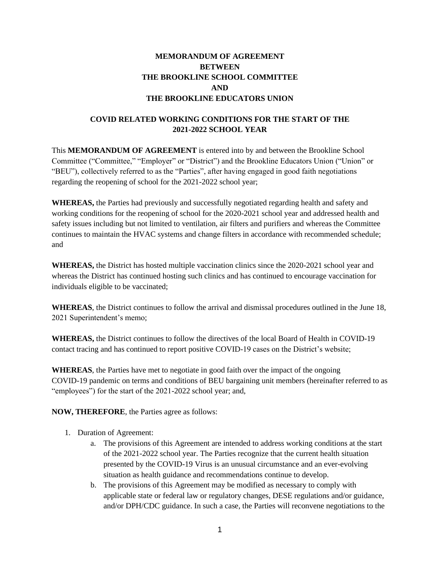# **MEMORANDUM OF AGREEMENT BETWEEN THE BROOKLINE SCHOOL COMMITTEE AND THE BROOKLINE EDUCATORS UNION**

# **COVID RELATED WORKING CONDITIONS FOR THE START OF THE 2021-2022 SCHOOL YEAR**

This **MEMORANDUM OF AGREEMENT** is entered into by and between the Brookline School Committee ("Committee," "Employer" or "District") and the Brookline Educators Union ("Union" or "BEU"), collectively referred to as the "Parties", after having engaged in good faith negotiations regarding the reopening of school for the 2021-2022 school year;

**WHEREAS,** the Parties had previously and successfully negotiated regarding health and safety and working conditions for the reopening of school for the 2020-2021 school year and addressed health and safety issues including but not limited to ventilation, air filters and purifiers and whereas the Committee continues to maintain the HVAC systems and change filters in accordance with recommended schedule; and

**WHEREAS,** the District has hosted multiple vaccination clinics since the 2020-2021 school year and whereas the District has continued hosting such clinics and has continued to encourage vaccination for individuals eligible to be vaccinated;

**WHEREAS**, the District continues to follow the arrival and dismissal procedures outlined in the June 18, 2021 Superintendent's memo;

**WHEREAS,** the District continues to follow the directives of the local Board of Health in COVID-19 contact tracing and has continued to report positive COVID-19 cases on the District's website;

**WHEREAS**, the Parties have met to negotiate in good faith over the impact of the ongoing COVID-19 pandemic on terms and conditions of BEU bargaining unit members (hereinafter referred to as "employees") for the start of the 2021-2022 school year; and,

**NOW, THEREFORE**, the Parties agree as follows:

- 1. Duration of Agreement:
	- a. The provisions of this Agreement are intended to address working conditions at the start of the 2021-2022 school year. The Parties recognize that the current health situation presented by the COVID-19 Virus is an unusual circumstance and an ever-evolving situation as health guidance and recommendations continue to develop.
	- b. The provisions of this Agreement may be modified as necessary to comply with applicable state or federal law or regulatory changes, DESE regulations and/or guidance, and/or DPH/CDC guidance. In such a case, the Parties will reconvene negotiations to the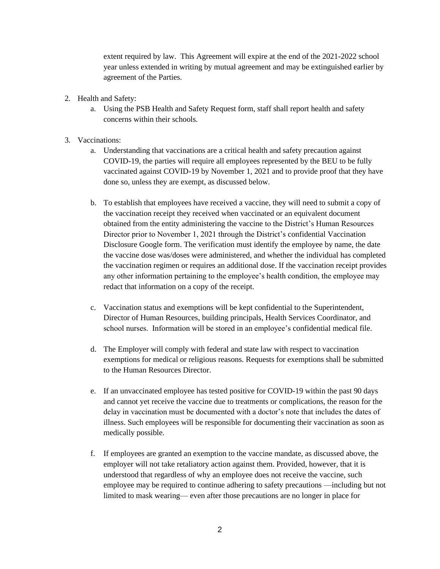extent required by law. This Agreement will expire at the end of the 2021-2022 school year unless extended in writing by mutual agreement and may be extinguished earlier by agreement of the Parties.

- 2. Health and Safety:
	- a. Using the PSB Health and Safety Request form, staff shall report health and safety concerns within their schools.
- 3. Vaccinations:
	- a. Understanding that vaccinations are a critical health and safety precaution against COVID-19, the parties will require all employees represented by the BEU to be fully vaccinated against COVID-19 by November 1, 2021 and to provide proof that they have done so, unless they are exempt, as discussed below.
	- b. To establish that employees have received a vaccine, they will need to submit a copy of the vaccination receipt they received when vaccinated or an equivalent document obtained from the entity administering the vaccine to the District's Human Resources Director prior to November 1, 2021 through the District's confidential Vaccination Disclosure Google form. The verification must identify the employee by name, the date the vaccine dose was/doses were administered, and whether the individual has completed the vaccination regimen or requires an additional dose. If the vaccination receipt provides any other information pertaining to the employee's health condition, the employee may redact that information on a copy of the receipt.
	- c. Vaccination status and exemptions will be kept confidential to the Superintendent, Director of Human Resources, building principals, Health Services Coordinator, and school nurses. Information will be stored in an employee's confidential medical file.
	- d. The Employer will comply with federal and state law with respect to vaccination exemptions for medical or religious reasons. Requests for exemptions shall be submitted to the Human Resources Director.
	- e. If an unvaccinated employee has tested positive for COVID-19 within the past 90 days and cannot yet receive the vaccine due to treatments or complications, the reason for the delay in vaccination must be documented with a doctor's note that includes the dates of illness. Such employees will be responsible for documenting their vaccination as soon as medically possible.
	- f. If employees are granted an exemption to the vaccine mandate, as discussed above, the employer will not take retaliatory action against them. Provided, however, that it is understood that regardless of why an employee does not receive the vaccine, such employee may be required to continue adhering to safety precautions —including but not limited to mask wearing— even after those precautions are no longer in place for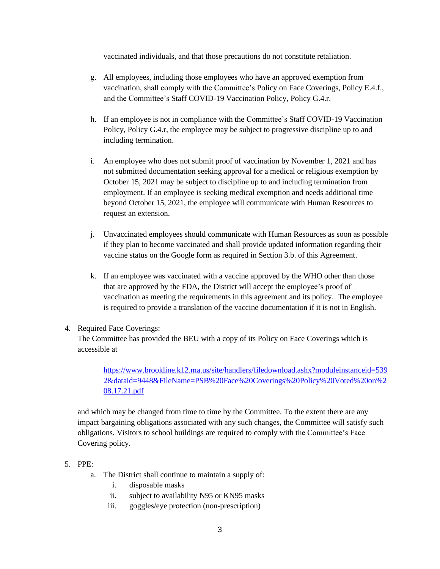vaccinated individuals, and that those precautions do not constitute retaliation.

- g. All employees, including those employees who have an approved exemption from vaccination, shall comply with the Committee's Policy on Face Coverings, Policy E.4.f., and the Committee's Staff COVID-19 Vaccination Policy, Policy G.4.r.
- h. If an employee is not in compliance with the Committee's Staff COVID-19 Vaccination Policy, Policy G.4.r, the employee may be subject to progressive discipline up to and including termination.
- i. An employee who does not submit proof of vaccination by November 1, 2021 and has not submitted documentation seeking approval for a medical or religious exemption by October 15, 2021 may be subject to discipline up to and including termination from employment. If an employee is seeking medical exemption and needs additional time beyond October 15, 2021, the employee will communicate with Human Resources to request an extension.
- j. Unvaccinated employees should communicate with Human Resources as soon as possible if they plan to become vaccinated and shall provide updated information regarding their vaccine status on the Google form as required in Section 3.b. of this Agreement.
- k. If an employee was vaccinated with a vaccine approved by the WHO other than those that are approved by the FDA, the District will accept the employee's proof of vaccination as meeting the requirements in this agreement and its policy. The employee is required to provide a translation of the vaccine documentation if it is not in English.
- 4. Required Face Coverings:

The Committee has provided the BEU with a copy of its Policy on Face Coverings which is accessible at

[https://www.brookline.k12.ma.us/site/handlers/filedownload.ashx?moduleinstanceid=539](https://www.brookline.k12.ma.us/site/handlers/filedownload.ashx?moduleinstanceid=5392&dataid=9448&FileName=PSB%20Face%20Coverings%20Policy%20Voted%20on%208.17.21.pdf) [2&dataid=9448&FileName=PSB%20Face%20Coverings%20Policy%20Voted%20on%2](https://www.brookline.k12.ma.us/site/handlers/filedownload.ashx?moduleinstanceid=5392&dataid=9448&FileName=PSB%20Face%20Coverings%20Policy%20Voted%20on%208.17.21.pdf) [08.17.21.pdf](https://www.brookline.k12.ma.us/site/handlers/filedownload.ashx?moduleinstanceid=5392&dataid=9448&FileName=PSB%20Face%20Coverings%20Policy%20Voted%20on%208.17.21.pdf)

and which may be changed from time to time by the Committee. To the extent there are any impact bargaining obligations associated with any such changes, the Committee will satisfy such obligations. Visitors to school buildings are required to comply with the Committee's Face Covering policy.

## 5. PPE:

- a. The District shall continue to maintain a supply of:
	- i. disposable masks
	- ii. subject to availability N95 or KN95 masks
	- iii. goggles/eye protection (non-prescription)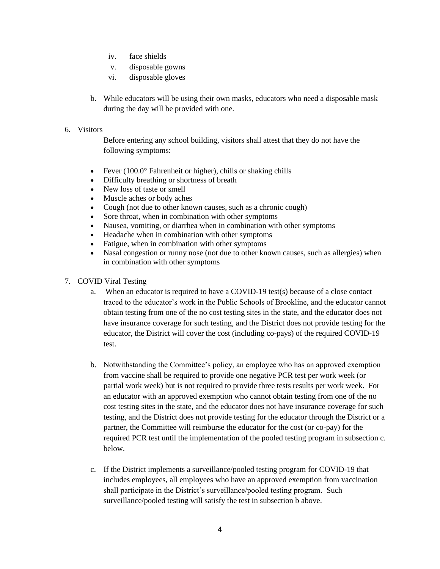- iv. face shields
- v. disposable gowns
- vi. disposable gloves
- b. While educators will be using their own masks, educators who need a disposable mask during the day will be provided with one.

### 6. Visitors

Before entering any school building, visitors shall attest that they do not have the following symptoms:

- Fever  $(100.0^{\circ}$  Fahrenheit or higher), chills or shaking chills
- Difficulty breathing or shortness of breath
- New loss of taste or smell
- Muscle aches or body aches
- Cough (not due to other known causes, such as a chronic cough)
- Sore throat, when in combination with other symptoms
- Nausea, vomiting, or diarrhea when in combination with other symptoms
- Headache when in combination with other symptoms
- Fatigue, when in combination with other symptoms
- Nasal congestion or runny nose (not due to other known causes, such as allergies) when in combination with other symptoms

### 7. COVID Viral Testing

- a. When an educator is required to have a COVID-19 test(s) because of a close contact traced to the educator's work in the Public Schools of Brookline, and the educator cannot obtain testing from one of the no cost testing sites in the state, and the educator does not have insurance coverage for such testing, and the District does not provide testing for the educator, the District will cover the cost (including co-pays) of the required COVID-19 test.
- b. Notwithstanding the Committee's policy, an employee who has an approved exemption from vaccine shall be required to provide one negative PCR test per work week (or partial work week) but is not required to provide three tests results per work week. For an educator with an approved exemption who cannot obtain testing from one of the no cost testing sites in the state, and the educator does not have insurance coverage for such testing, and the District does not provide testing for the educator through the District or a partner, the Committee will reimburse the educator for the cost (or co-pay) for the required PCR test until the implementation of the pooled testing program in subsection c. below.
- c. If the District implements a surveillance/pooled testing program for COVID-19 that includes employees, all employees who have an approved exemption from vaccination shall participate in the District's surveillance/pooled testing program. Such surveillance/pooled testing will satisfy the test in subsection b above.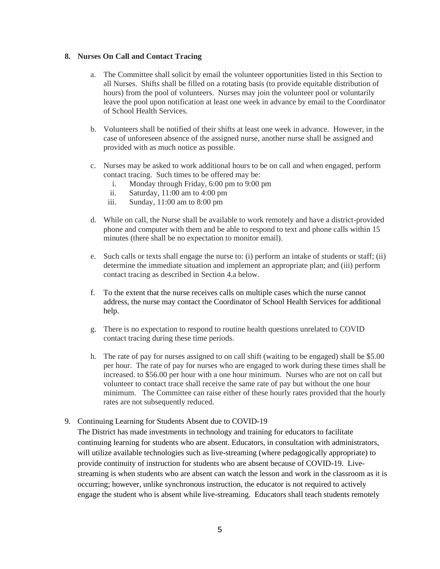#### **8. Nurses On Call and Contact Tracing**

- a. The Committee shall solicit by email the volunteer opportunities listed in this Section to all Nurses. Shifts shall be filled on a rotating basis (to provide equitable distribution of hours) from the pool of volunteers. Nurses may join the volunteer pool or voluntarily leave the pool upon notification at least one week in advance by email to the Coordinator of School Health Services.
- b. Volunteers shall be notified of their shifts at least one week in advance. However, in the case of unforeseen absence of the assigned nurse, another nurse shall be assigned and provided with as much notice as possible.
- c. Nurses may be asked to work additional hours to be on call and when engaged, perform contact tracing. Such times to be offered may be:
	- i. Monday through Friday, 6:00 pm to 9:00 pm
	- ii. Saturday, 11:00 am to 4:00 pm
	- iii. Sunday, 11:00 am to 8:00 pm
- d. While on call, the Nurse shall be available to work remotely and have a district-provided phone and computer with them and be able to respond to text and phone calls within 15 minutes (there shall be no expectation to monitor email).
- e. Such calls or texts shall engage the nurse to: (i) perform an intake of students or staff; (ii) determine the immediate situation and implement an appropriate plan; and (iii) perform contact tracing as described in Section 4.a below.
- f. To the extent that the nurse receives calls on multiple cases which the nurse cannot address, the nurse may contact the Coordinator of School Health Services for additional help.
- g. There is no expectation to respond to routine health questions unrelated to COVID contact tracing during these time periods.
- h. The rate of pay for nurses assigned to on call shift (waiting to be engaged) shall be \$5.00 per hour. The rate of pay for nurses who are engaged to work during these times shall be increased. to \$56.00 per hour with a one hour minimum. Nurses who are not on call but volunteer to contact trace shall receive the same rate of pay but without the one hour minimum. The Committee can raise either of these hourly rates provided that the hourly rates are not subsequently reduced.

### 9. Continuing Learning for Students Absent due to COVID-19

The District has made investments in technology and training for educators to facilitate continuing learning for students who are absent. Educators, in consultation with administrators, will utilize available technologies such as live-streaming (where pedagogically appropriate) to provide continuity of instruction for students who are absent because of COVID-19. Livestreaming is when students who are absent can watch the lesson and work in the classroom as it is occurring; however, unlike synchronous instruction, the educator is not required to actively engage the student who is absent while live-streaming. Educators shall teach students remotely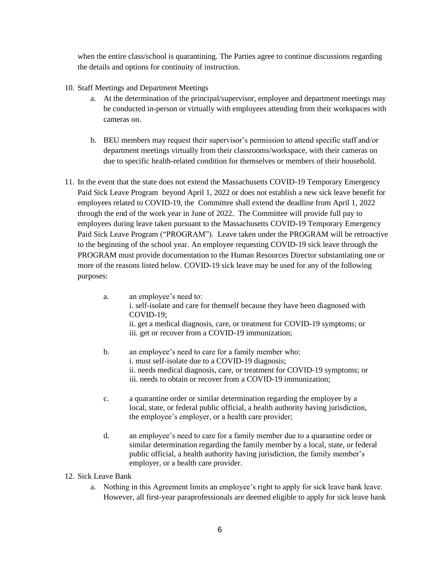when the entire class/school is quarantining. The Parties agree to continue discussions regarding the details and options for continuity of instruction.

- 10. Staff Meetings and Department Meetings
	- a. At the determination of the principal/supervisor, employee and department meetings may be conducted in-person or virtually with employees attending from their workspaces with cameras on.
	- b. BEU members may request their supervisor's permission to attend specific staff and/or department meetings virtually from their classrooms/workspace, with their cameras on due to specific health-related condition for themselves or members of their household.
- 11. In the event that the state does not extend the Massachusetts COVID-19 Temporary Emergency Paid Sick Leave Program beyond April 1, 2022 or does not establish a new sick leave benefit for employees related to COVID-19, the Committee shall extend the deadline from April 1, 2022 through the end of the work year in June of 2022. The Committee will provide full pay to employees during leave taken pursuant to the Massachusetts COVID-19 Temporary Emergency Paid Sick Leave Program ("PROGRAM"). Leave taken under the PROGRAM will be retroactive to the beginning of the school year. An employee requesting COVID-19 sick leave through the PROGRAM must provide documentation to the Human Resources Director substantiating one or more of the reasons listed below. COVID-19 sick leave may be used for any of the following purposes:
	- a. an employee's need to: i. self-isolate and care for themself because they have been diagnosed with COVID-19; ii. get a medical diagnosis, care, or treatment for COVID-19 symptoms; or iii. get or recover from a COVID-19 immunization;
	- b. an employee's need to care for a family member who: i. must self-isolate due to a COVID-19 diagnosis; ii. needs medical diagnosis, care, or treatment for COVID-19 symptoms; or iii. needs to obtain or recover from a COVID-19 immunization;
	- c. a quarantine order or similar determination regarding the employee by a local, state, or federal public official, a health authority having jurisdiction, the employee's employer, or a health care provider;
	- d. an employee's need to care for a family member due to a quarantine order or similar determination regarding the family member by a local, state, or federal public official, a health authority having jurisdiction, the family member's employer, or a health care provider.
- 12. Sick Leave Bank
	- a. Nothing in this Agreement limits an employee's right to apply for sick leave bank leave. However, all first-year paraprofessionals are deemed eligible to apply for sick leave bank